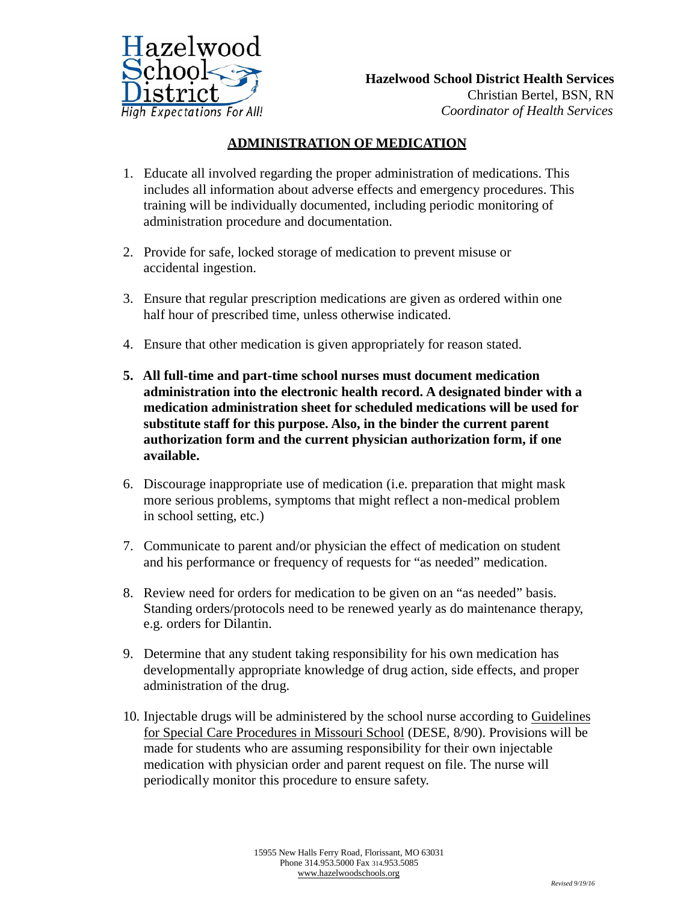

## **ADMINISTRATION OF MEDICATION**

- 1. Educate all involved regarding the proper administration of medications. This includes all information about adverse effects and emergency procedures. This training will be individually documented, including periodic monitoring of administration procedure and documentation.
- 2. Provide for safe, locked storage of medication to prevent misuse or accidental ingestion.
- 3. Ensure that regular prescription medications are given as ordered within one half hour of prescribed time, unless otherwise indicated.
- 4. Ensure that other medication is given appropriately for reason stated.
- **5. All full-time and part-time school nurses must document medication administration into the electronic health record. A designated binder with a medication administration sheet for scheduled medications will be used for substitute staff for this purpose. Also, in the binder the current parent authorization form and the current physician authorization form, if one available.**
- 6. Discourage inappropriate use of medication (i.e. preparation that might mask more serious problems, symptoms that might reflect a non-medical problem in school setting, etc.)
- 7. Communicate to parent and/or physician the effect of medication on student and his performance or frequency of requests for "as needed" medication.
- 8. Review need for orders for medication to be given on an "as needed" basis. Standing orders/protocols need to be renewed yearly as do maintenance therapy, e.g. orders for Dilantin.
- 9. Determine that any student taking responsibility for his own medication has developmentally appropriate knowledge of drug action, side effects, and proper administration of the drug.
- 10. Injectable drugs will be administered by the school nurse according to Guidelines for Special Care Procedures in Missouri School (DESE, 8/90). Provisions will be made for students who are assuming responsibility for their own injectable medication with physician order and parent request on file. The nurse will periodically monitor this procedure to ensure safety.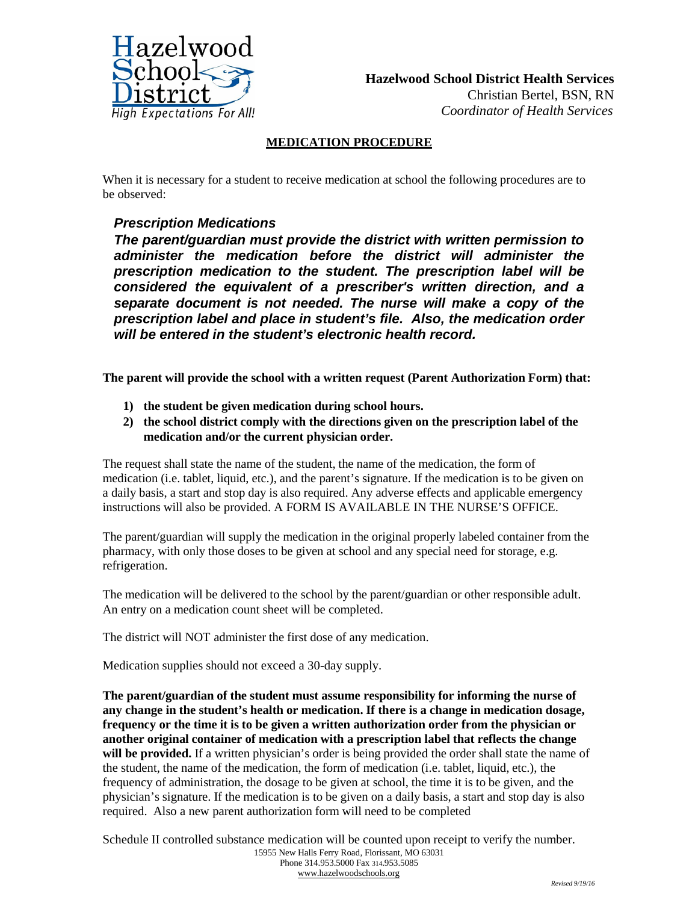

## **MEDICATION PROCEDURE**

When it is necessary for a student to receive medication at school the following procedures are to be observed:

## *Prescription Medications*

*The parent/guardian must provide the district with written permission to administer the medication before the district will administer the prescription medication to the student. The prescription label will be considered the equivalent of a prescriber's written direction, and a separate document is not needed. The nurse will make a copy of the prescription label and place in student's file. Also, the medication order will be entered in the student's electronic health record.*

**The parent will provide the school with a written request (Parent Authorization Form) that:**

- **1) the student be given medication during school hours.**
- **2) the school district comply with the directions given on the prescription label of the medication and/or the current physician order.**

The request shall state the name of the student, the name of the medication, the form of medication (i.e. tablet, liquid, etc.), and the parent's signature. If the medication is to be given on a daily basis, a start and stop day is also required. Any adverse effects and applicable emergency instructions will also be provided. A FORM IS AVAILABLE IN THE NURSE'S OFFICE.

The parent/guardian will supply the medication in the original properly labeled container from the pharmacy, with only those doses to be given at school and any special need for storage, e.g. refrigeration.

The medication will be delivered to the school by the parent/guardian or other responsible adult. An entry on a medication count sheet will be completed.

The district will NOT administer the first dose of any medication.

Medication supplies should not exceed a 30-day supply.

**The parent/guardian of the student must assume responsibility for informing the nurse of any change in the student's health or medication. If there is a change in medication dosage, frequency or the time it is to be given a written authorization order from the physician or another original container of medication with a prescription label that reflects the change will be provided.** If a written physician's order is being provided the order shall state the name of the student, the name of the medication, the form of medication (i.e. tablet, liquid, etc.), the frequency of administration, the dosage to be given at school, the time it is to be given, and the physician's signature. If the medication is to be given on a daily basis, a start and stop day is also required. Also a new parent authorization form will need to be completed

Schedule II controlled substance medication will be counted upon receipt to verify the number. 15955 New Halls Ferry Road, Florissant, MO 63031 Phone 314.953.5000 Fax 314.953.5085 www.hazelwoodschools.org